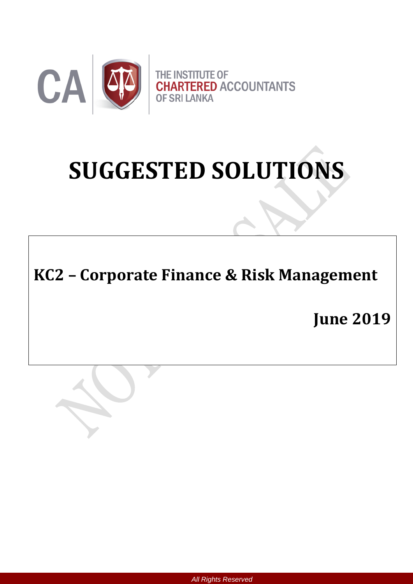

# **SUGGESTED SOLUTIONS**

**KC2 – Corporate Finance & Risk Management**

**June 2019**



*All Rights Reserved*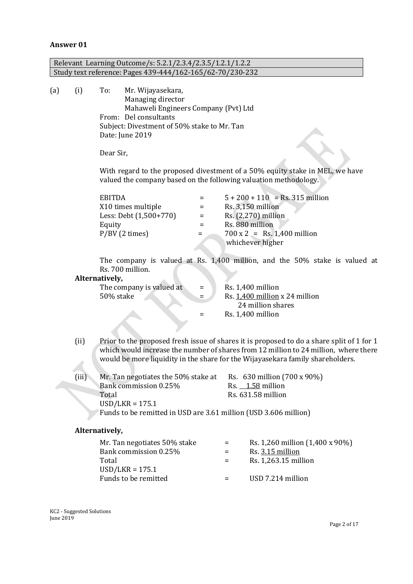# **Answer 01**

|     |                                                                                                                                                                         |                                                                                                                                                                                                                                                                                                                                                   | Relevant Learning Outcome/s: 5.2.1/2.3.4/2.3.5/1.2.1/1.2.2                 |                           |                   |                                                                                                                                                                                                                                            |  |  |
|-----|-------------------------------------------------------------------------------------------------------------------------------------------------------------------------|---------------------------------------------------------------------------------------------------------------------------------------------------------------------------------------------------------------------------------------------------------------------------------------------------------------------------------------------------|----------------------------------------------------------------------------|---------------------------|-------------------|--------------------------------------------------------------------------------------------------------------------------------------------------------------------------------------------------------------------------------------------|--|--|
|     |                                                                                                                                                                         |                                                                                                                                                                                                                                                                                                                                                   | Study text reference: Pages 439-444/162-165/62-70/230-232                  |                           |                   |                                                                                                                                                                                                                                            |  |  |
| (a) | (i)                                                                                                                                                                     | To:<br>Mr. Wijayasekara,<br>Managing director<br>Mahaweli Engineers Company (Pvt) Ltd<br>From: Del consultants<br>Subject: Divestment of 50% stake to Mr. Tan<br>Date: June 2019<br>Dear Sir,<br>With regard to the proposed divestment of a 50% equity stake in MEL, we have<br>valued the company based on the following valuation methodology. |                                                                            |                           |                   |                                                                                                                                                                                                                                            |  |  |
|     |                                                                                                                                                                         | <b>EBITDA</b><br>Equity                                                                                                                                                                                                                                                                                                                           | X10 times multiple<br>Less: Debt (1,500+770)<br>$P/BV$ (2 times)           | Ξ<br>Ξ<br>$=$<br>$=$<br>Ξ |                   | $5 + 200 + 110 =$ Rs. 315 million<br>$Rs. 3,150$ million<br>Rs. (2,270) million<br>Rs. 880 million<br>$700 \times 2$ = Rs. 1,400 million<br>whichever higher<br>The company is valued at Rs. 1,400 million, and the 50% stake is valued at |  |  |
|     | Rs. 700 million.<br>Alternatively,<br>The company is valued at<br>$=$<br>50% stake<br>$=$<br>Ξ                                                                          |                                                                                                                                                                                                                                                                                                                                                   |                                                                            |                           |                   | Rs. 1,400 million<br>Rs. 1,400 million x 24 million<br>24 million shares<br>Rs. 1,400 million                                                                                                                                              |  |  |
|     | (ii)                                                                                                                                                                    | Prior to the proposed fresh issue of shares it is proposed to do a share split of 1 for 1<br>which would increase the number of shares from 12 million to 24 million, where there<br>would be more liquidity in the share for the Wijayasekara family shareholders.                                                                               |                                                                            |                           |                   |                                                                                                                                                                                                                                            |  |  |
|     | (iii)<br>Mr. Tan negotiates the 50% stake at<br>Bank commission 0.25%<br>Total<br>$USD/LKR = 175.1$<br>Funds to be remitted in USD are 3.61 million (USD 3.606 million) |                                                                                                                                                                                                                                                                                                                                                   |                                                                            |                           |                   | Rs. 630 million (700 x 90%)<br>Rs. 1.58 million<br>Rs. 631.58 million                                                                                                                                                                      |  |  |
|     |                                                                                                                                                                         | Alternatively,                                                                                                                                                                                                                                                                                                                                    |                                                                            |                           |                   |                                                                                                                                                                                                                                            |  |  |
|     |                                                                                                                                                                         | Total                                                                                                                                                                                                                                                                                                                                             | Mr. Tan negotiates 50% stake<br>Bank commission 0.25%<br>$USD/LKR = 175.1$ |                           | Ξ<br>$=$<br>$=$   | Rs. 1,260 million (1,400 x 90%)<br>Rs. 3.15 million<br>Rs. 1,263.15 million                                                                                                                                                                |  |  |
|     |                                                                                                                                                                         |                                                                                                                                                                                                                                                                                                                                                   | Funds to be remitted                                                       |                           | $\qquad \qquad =$ | USD 7.214 million                                                                                                                                                                                                                          |  |  |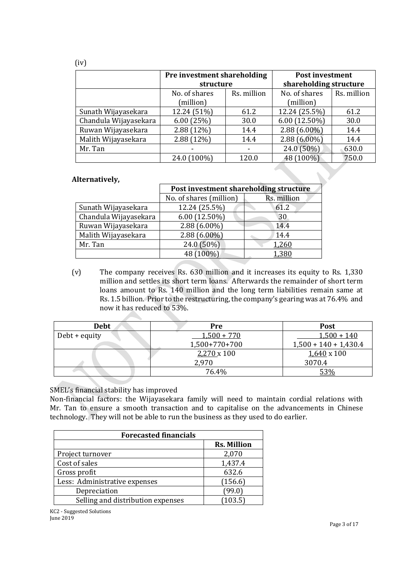|                       | Pre investment shareholding<br>structure |                          | <b>Post investment</b><br>shareholding structure |             |
|-----------------------|------------------------------------------|--------------------------|--------------------------------------------------|-------------|
|                       | No. of shares<br>(million)               | Rs. million              | No. of shares<br>(million)                       | Rs. million |
| Sunath Wijayasekara   | 12.24 (51%)                              | 61.2                     | 12.24 (25.5%)                                    | 61.2        |
| Chandula Wijayasekara | 6.00(25%)                                | 30.0                     | $6.00(12.50\%)$                                  | 30.0        |
| Ruwan Wijayasekara    | 2.88 (12%)                               | 14.4                     | $2.88(6.00\%)$                                   | 14.4        |
| Malith Wijayasekara   | 2.88 (12%)                               | 14.4                     | $2.88(6.00\%)$                                   | 14.4        |
| Mr. Tan               | -                                        | $\overline{\phantom{0}}$ | 24.0 (50%)                                       | 630.0       |
|                       | 24.0 (100%)                              | 120.0                    | 48 (100%)                                        | 750.0       |

## **Alternatively,**

|                       | Post investment shareholding structure |             |  |
|-----------------------|----------------------------------------|-------------|--|
|                       | No. of shares (million)                | Rs. million |  |
| Sunath Wijayasekara   | 12.24 (25.5%)                          | 61.2        |  |
| Chandula Wijayasekara | 6.00 (12.50%)                          | 30          |  |
| Ruwan Wijayasekara    | $2.88(6.00\%)$                         | 14.4        |  |
| Malith Wijayasekara   | $2.88(6.00\%)$                         | 14.4        |  |
| Mr. Tan               | 24.0 (50%)                             | 1,260       |  |
|                       | 48 (100%)                              | 1,380       |  |

(v) The company receives Rs. 630 million and it increases its equity to Rs. 1,330 million and settles its short term loans. Afterwards the remainder of short term loans amount to Rs. 140 million and the long term liabilities remain same at Rs. 1.5 billion. Prior to the restructuring, the company's gearing was at 76.4% and now it has reduced to 53%.

| <b>Debt</b>   | Pre           | <b>Post</b>             |
|---------------|---------------|-------------------------|
| Debt + equity | $1,500 + 770$ | $1,500 + 140$           |
|               | 1,500+770+700 | $1,500 + 140 + 1,430.4$ |
|               | 2,270 x 100   | $1,640 \times 100$      |
|               | 2,970         | 3070.4                  |
|               | 76.4%         | 53%                     |

# SMEL's financial stability has improved

Non-financial factors: the Wijayasekara family will need to maintain cordial relations with Mr. Tan to ensure a smooth transaction and to capitalise on the advancements in Chinese technology. They will not be able to run the business as they used to do earlier.

| <b>Forecasted financials</b>      |                    |  |  |  |
|-----------------------------------|--------------------|--|--|--|
|                                   | <b>Rs. Million</b> |  |  |  |
| Project turnover                  | 2,070              |  |  |  |
| Cost of sales                     | 1,437.4            |  |  |  |
| Gross profit                      | 632.6              |  |  |  |
| Less: Administrative expenses     | (156.6)            |  |  |  |
| Depreciation                      | (99.0)             |  |  |  |
| Selling and distribution expenses | (103.5)            |  |  |  |

KC2 - Suggested Solutions June 2019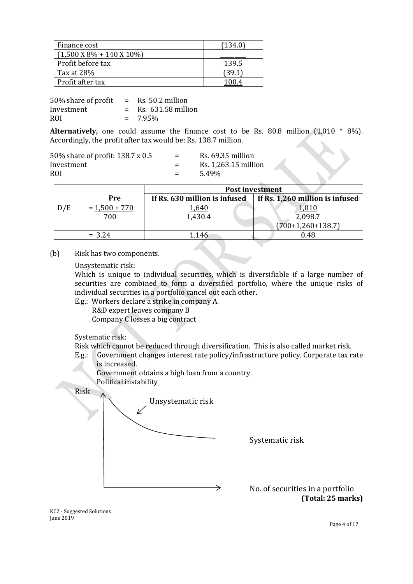| Finance cost                                   | 134.0 |
|------------------------------------------------|-------|
| $(1,500 \text{ X } 8\% + 140 \text{ X } 10\%)$ |       |
| Profit before tax                              | 139.5 |
| Tax at 28%                                     |       |
| Profit after tax                               |       |

| 50% share of profit | $=$ | Rs. 50.2 million   |
|---------------------|-----|--------------------|
| Investment          |     | Rs. 631.58 million |
| ROI                 |     | $= 7.95\%$         |

**Alternatively,** one could assume the finance cost to be Rs. 80.8 million (1,010 \* 8%). Accordingly, the profit after tax would be: Rs. 138.7 million.

| 50% share of profit: 138.7 x 0.5 | $=$ | Rs. 69.35 million    |
|----------------------------------|-----|----------------------|
| Investment                       | $=$ | Rs. 1,263.15 million |
| <b>ROI</b>                       |     | 5.49%                |

|     |                 | <b>Post investment</b>        |                                 |  |
|-----|-----------------|-------------------------------|---------------------------------|--|
|     | Pre             | If Rs. 630 million is infused | If Rs. 1,260 million is infused |  |
| D/E | $= 1,500 + 770$ | <u>1,640</u>                  | 1,010                           |  |
|     | 700             | 1,430.4                       | 2,098.7                         |  |
|     |                 |                               | $(700+1,260+138.7)$             |  |
|     | $= 3.24$        | 1.146                         | 0.48                            |  |

(b) Risk has two components.

Unsystematic risk:

Which is unique to individual securities, which is diversifiable if a large number of securities are combined to form a diversified portfolio, where the unique risks of individual securities in a portfolio cancel out each other.

E.g.: Workers declare a strike in company A.

R&D expert leaves company B Company C losses a big contract

Systematic risk:

Risk which cannot be reduced through diversification. This is also called market risk.

E.g.: Government changes interest rate policy/infrastructure policy, Corporate tax rate is increased. Government obtains a high loan from a country



Systematic risk

No. of securities in a portfolio **(Total: 25 marks)**

KC2 - Suggested Solutions June 2019

Page 4 of 17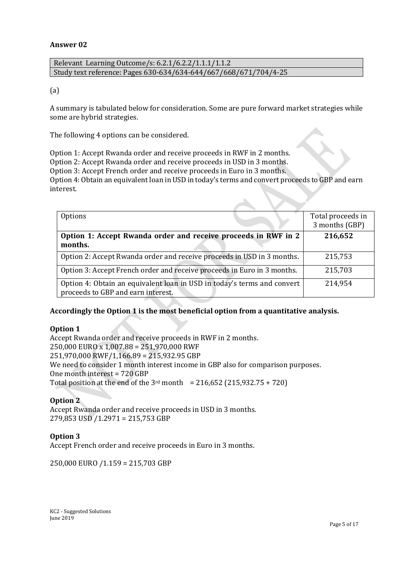## **Answer 02**

| Relevant Learning Outcome/s: 6.2.1/6.2.2/1.1.1/1.1.2             |  |
|------------------------------------------------------------------|--|
| Study text reference: Pages 630-634/634-644/667/668/671/704/4-25 |  |

(a)

A summary is tabulated below for consideration. Some are pure forward market strategies while some are hybrid strategies.

The following 4 options can be considered.

Option 1: Accept Rwanda order and receive proceeds in RWF in 2 months.

Option 2: Accept Rwanda order and receive proceeds in USD in 3 months.

Option 3: Accept French order and receive proceeds in Euro in 3 months.

Option 4: Obtain an equivalent loan in USD in today's terms and convert proceeds to GBP and earn interest.

| Options                                                                                                       | Total proceeds in<br>3 months (GBP) |
|---------------------------------------------------------------------------------------------------------------|-------------------------------------|
| Option 1: Accept Rwanda order and receive proceeds in RWF in 2<br>months.                                     | 216,652                             |
| Option 2: Accept Rwanda order and receive proceeds in USD in 3 months.                                        | 215,753                             |
| Option 3: Accept French order and receive proceeds in Euro in 3 months.                                       | 215,703                             |
| Option 4: Obtain an equivalent loan in USD in today's terms and convert<br>proceeds to GBP and earn interest. | 214,954                             |

# **Accordingly the Option 1 is the most beneficial option from a quantitative analysis.**

#### **Option 1**

Accept Rwanda order and receive proceeds in RWF in 2 months. 250,000 EURO x 1,007.88 = 251,970,000 RWF 251,970,000 RWF/1,166.89 = 215,932.95 GBP We need to consider 1 month interest income in GBP also for comparison purposes. One month interest = 720 GBP Total position at the end of the  $3^{rd}$  month = 216,652 (215,932.75 + 720)

#### **Option 2**

Accept Rwanda order and receive proceeds in USD in 3 months. 279,853 USD /1.2971 = 215,753 GBP

# **Option 3**

Accept French order and receive proceeds in Euro in 3 months.

250,000 EURO /1.159 = 215,703 GBP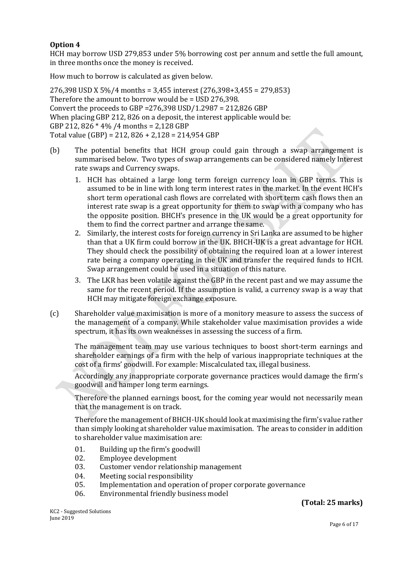# **Option 4**

HCH may borrow USD 279,853 under 5% borrowing cost per annum and settle the full amount, in three months once the money is received.

How much to borrow is calculated as given below.

276,398 USD X 5%/4 months = 3,455 interest (276,398+3,455 = 279,853) Therefore the amount to borrow would be = USD 276,398. Convert the proceeds to GBP =276,398 USD/1.2987 = 212,826 GBP When placing GBP 212, 826 on a deposit, the interest applicable would be: GBP 212, 826 \* 4% /4 months = 2,128 GBP Total value (GBP) = 212, 826 + 2,128 = 214,954 GBP

- (b) The potential benefits that HCH group could gain through a swap arrangement is summarised below. Two types of swap arrangements can be considered namely Interest rate swaps and Currency swaps.
	- 1. HCH has obtained a large long term foreign currency loan in GBP terms. This is assumed to be in line with long term interest rates in the market. In the event HCH's short term operational cash flows are correlated with short term cash flows then an interest rate swap is a great opportunity for them to swap with a company who has the opposite position. BHCH's presence in the UK would be a great opportunity for them to find the correct partner and arrange the same.
	- 2. Similarly, the interest costs for foreign currency in Sri Lanka are assumed to be higher than that a UK firm could borrow in the UK. BHCH-UK is a great advantage for HCH. They should check the possibility of obtaining the required loan at a lower interest rate being a company operating in the UK and transfer the required funds to HCH. Swap arrangement could be used in a situation of this nature.
	- 3. The LKR has been volatile against the GBP in the recent past and we may assume the same for the recent period. If the assumption is valid, a currency swap is a way that HCH may mitigate foreign exchange exposure.
- (c) Shareholder value maximisation is more of a monitory measure to assess the success of the management of a company. While stakeholder value maximisation provides a wide spectrum, it has its own weaknesses in assessing the success of a firm.

The management team may use various techniques to boost short-term earnings and shareholder earnings of a firm with the help of various inappropriate techniques at the cost of a firms' goodwill. For example: Miscalculated tax, illegal business.

Accordingly any inappropriate corporate governance practices would damage the firm's goodwill and hamper long term earnings.

Therefore the planned earnings boost, for the coming year would not necessarily mean that the management is on track.

Therefore the management of BHCH-UK should look at maximising the firm's value rather than simply looking at shareholder value maximisation. The areas to consider in addition to shareholder value maximisation are:

- 01. Building up the firm's goodwill
- 02. Employee development
- 03. Customer vendor relationship management
- 04. Meeting social responsibility
- 05. Implementation and operation of proper corporate governance
- 06. Environmental friendly business model

**(Total: 25 marks)**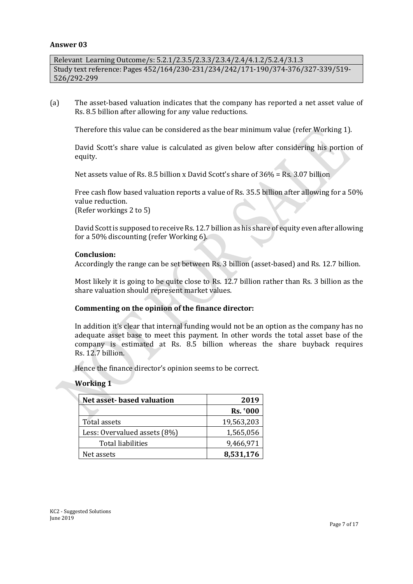#### **Answer 03**

Relevant Learning Outcome/s: 5.2.1/2.3.5/2.3.3/2.3.4/2.4/4.1.2/5.2.4/3.1.3 Study text reference: Pages 452/164/230-231/234/242/171-190/374-376/327-339/519- 526/292-299

(a) The asset-based valuation indicates that the company has reported a net asset value of Rs. 8.5 billion after allowing for any value reductions.

Therefore this value can be considered as the bear minimum value (refer Working 1).

David Scott's share value is calculated as given below after considering his portion of equity.

Net assets value of Rs. 8.5 billion x David Scott's share of 36% = Rs. 3.07 billion

Free cash flow based valuation reports a value of Rs. 35.5 billion after allowing for a 50% value reduction.

(Refer workings 2 to 5)

David Scottis supposed to receive Rs. 12.7 billion as his share of equity even after allowing for a 50% discounting (refer Working 6).

#### **Conclusion:**

Accordingly the range can be set between Rs. 3 billion (asset-based) and Rs. 12.7 billion.

Most likely it is going to be quite close to Rs. 12.7 billion rather than Rs. 3 billion as the share valuation should represent market values.

# **Commenting on the opinion of the finance director:**

In addition it's clear that internal funding would not be an option as the company has no adequate asset base to meet this payment. In other words the total asset base of the company is estimated at Rs. 8.5 billion whereas the share buyback requires Rs. 12.7 billion.

Hence the finance director's opinion seems to be correct.

#### **Working 1**

| <b>Net asset-based valuation</b> | 2019            |
|----------------------------------|-----------------|
|                                  | <b>Rs. '000</b> |
| Total assets                     | 19,563,203      |
| Less: Overvalued assets (8%)     | 1,565,056       |
| Total liabilities                | 9,466,971       |
| Net assets                       | 8,531,176       |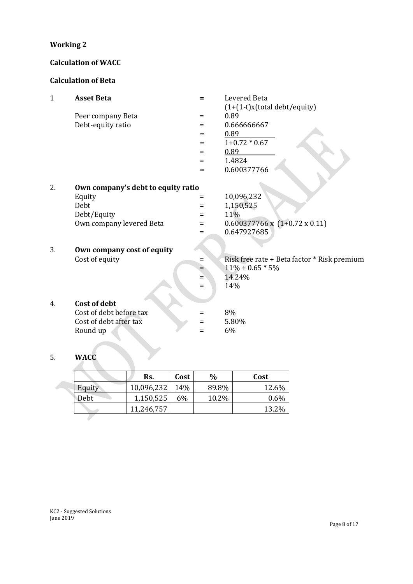# **Working 2**

# **Calculation of WACC**

# **Calculation of Beta**

| $\mathbf{1}$ | <b>Asset Beta</b>                  | Ξ   | Levered Beta                                |
|--------------|------------------------------------|-----|---------------------------------------------|
|              |                                    |     | $(1+(1-t)x(total debt/equity))$             |
|              | Peer company Beta                  | Ξ   | 0.89                                        |
|              | Debt-equity ratio                  | Ξ   | 0.666666667                                 |
|              |                                    | $=$ | 0.89                                        |
|              |                                    | $=$ | $1+0.72 * 0.67$                             |
|              |                                    | $=$ | 0.89                                        |
|              |                                    | $=$ | 1.4824                                      |
|              |                                    | $=$ | 0.600377766                                 |
|              |                                    |     |                                             |
| 2.           | Own company's debt to equity ratio |     |                                             |
|              | Equity                             | Ξ   | 10,096,232                                  |
|              | Debt                               | Ξ   | 1,150,525                                   |
|              | Debt/Equity                        | $=$ | 11%                                         |
|              | Own company levered Beta           | $=$ | $0.600377766 \times (1+0.72 \times 0.11)$   |
|              |                                    | Ξ   | 0.647927685                                 |
|              |                                    |     |                                             |
| 3.           | Own company cost of equity         |     |                                             |
|              | Cost of equity                     | Ξ   | Risk free rate + Beta factor * Risk premium |
|              |                                    | =   | $11\% + 0.65 * 5\%$                         |
|              |                                    | $=$ | 14.24%                                      |
|              |                                    | $=$ | 14%                                         |
|              |                                    |     |                                             |
| 4.           | <b>Cost of debt</b>                |     |                                             |
|              | Cost of debt before tax            | $=$ | 8%                                          |
|              | Cost of debt after tax             | Ξ   | 5.80%                                       |
|              | Round up                           | $=$ | 6%                                          |
|              |                                    |     |                                             |
|              |                                    |     |                                             |
| 5.           | <b>WACC</b>                        |     |                                             |

# 5. **WACC**

|        | Rs.        | Cost | $\frac{0}{0}$ | Cost  |
|--------|------------|------|---------------|-------|
| Equity | 10,096,232 | 14%  | 89.8%         | 12.6% |
| Debt   | 1,150,525  | 6%   | 10.2%         | 0.6%  |
|        | 11,246,757 |      |               | 13.2% |
|        |            |      |               |       |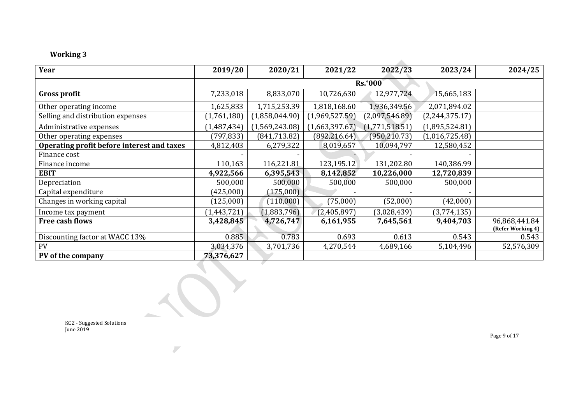# **Working 3**

| Year                                       | 2019/20       | 2020/21        | 2021/22        | 2022/23        | 2023/24        | 2024/25                            |
|--------------------------------------------|---------------|----------------|----------------|----------------|----------------|------------------------------------|
|                                            |               |                |                | <b>Rs.'000</b> |                |                                    |
| <b>Gross profit</b>                        | 7,233,018     | 8,833,070      | 10,726,630     | 12,977,724     | 15,665,183     |                                    |
| Other operating income                     | 1,625,833     | 1,715,253.39   | 1,818,168.60   | 1,936,349.56   | 2,071,894.02   |                                    |
| Selling and distribution expenses          | (1,761,180)   | (1,858,044.90) | (1,969,527.59) | (2,097,546.89) | (2,244,375.17) |                                    |
| Administrative expenses                    | (1,487,434)   | (1,569,243.08) | (1,663,397.67) | (1,771,518.51) | (1,895,524.81) |                                    |
| Other operating expenses                   | (797, 833)    | (841, 713.82)  | (892, 216.64)  | (950, 210.73)  | (1,016,725.48) |                                    |
| Operating profit before interest and taxes | 4,812,403     | 6,279,322      | 8,019,657      | 10,094,797     | 12,580,452     |                                    |
| Finance cost                               |               |                |                |                |                |                                    |
| Finance income                             | 110,163       | 116,221.81     | 123,195.12     | 131,202.80     | 140,386.99     |                                    |
| <b>EBIT</b>                                | 4,922,566     | 6,395,543      | 8,142,852      | 10,226,000     | 12,720,839     |                                    |
| Depreciation                               | 500,000       | 500,000        | 500,000        | 500,000        | 500,000        |                                    |
| Capital expenditure                        | (425,000)     | (175,000)      |                |                |                |                                    |
| Changes in working capital                 | (125,000)     | (110,000)      | (75,000)       | (52,000)       | (42,000)       |                                    |
| Income tax payment                         | (1, 443, 721) | (1,883,796)    | (2,405,897)    | (3,028,439)    | (3,774,135)    |                                    |
| Free cash flows                            | 3,428,845     | 4,726,747      | 6,161,955      | 7,645,561      | 9,404,703      | 96,868,441.84<br>(Refer Working 4) |
| Discounting factor at WACC 13%             | 0.885         | 0.783          | 0.693          | 0.613          | 0.543          | 0.543                              |
| <b>PV</b>                                  | 3,034,376     | 3,701,736      | 4,270,544      | 4,689,166      | 5,104,496      | 52,576,309                         |
| PV of the company                          | 73,376,627    |                |                |                |                |                                    |

KC2 - Suggested Solutions June 2019

 $\overline{\phantom{a}}$ 

Page 9 of 17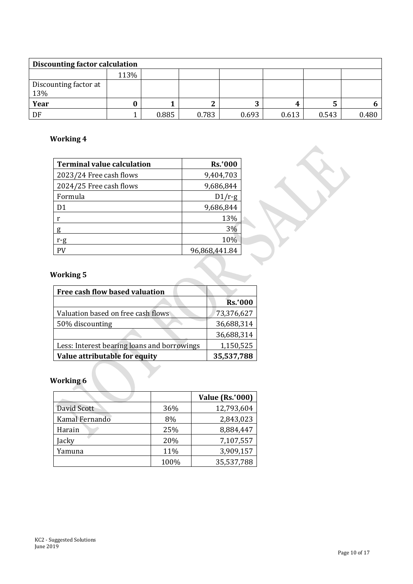| Discounting factor calculation |      |       |       |        |       |       |       |  |
|--------------------------------|------|-------|-------|--------|-------|-------|-------|--|
|                                | 113% |       |       |        |       |       |       |  |
| Discounting factor at<br>13%   |      |       |       |        |       |       |       |  |
| Year                           |      |       |       | റ<br>Ĵ |       |       | b.    |  |
| DF                             |      | 0.885 | 0.783 | 0.693  | 0.613 | 0.543 | 0.480 |  |

# **Working 4**

| <b>Terminal value calculation</b> | <b>Rs.'000</b> |
|-----------------------------------|----------------|
| 2023/24 Free cash flows           | 9,404,703      |
| 2024/25 Free cash flows           | 9,686,844      |
| Formula                           | $D1/r-g$       |
| D1                                | 9,686,844      |
| r                                 | 13%            |
| g                                 | 3%             |
| r-g                               | 10%            |
| PV                                | 96,868,441.84  |

# **Working 5**

| Free cash flow based valuation              |                |
|---------------------------------------------|----------------|
|                                             | <b>Rs.'000</b> |
| Valuation based on free cash flows          | 73,376,627     |
| 50% discounting                             | 36,688,314     |
|                                             | 36,688,314     |
| Less: Interest bearing loans and borrowings | 1,150,525      |
| Value attributable for equity               | 35,537,788     |

# **Working 6**

|                |      | <b>Value (Rs.'000)</b> |
|----------------|------|------------------------|
| David Scott    | 36%  | 12,793,604             |
| Kamal Fernando | 8%   | 2,843,023              |
| Harain         | 25%  | 8,884,447              |
| Jacky          | 20%  | 7,107,557              |
| Yamuna         | 11%  | 3,909,157              |
|                | 100% | 35,537,788             |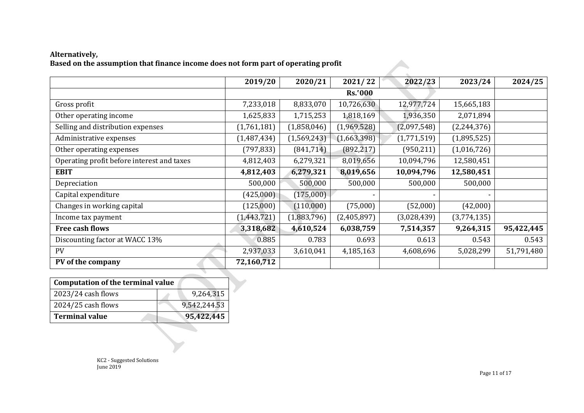# **Alternatively, Based on the assumption that finance income does not form part of operating profit**

|                                            | 2019/20       | 2020/21     | 2021/22        | 2022/23     | 2023/24       | 2024/25    |
|--------------------------------------------|---------------|-------------|----------------|-------------|---------------|------------|
|                                            |               |             | <b>Rs.'000</b> |             |               |            |
| Gross profit                               | 7,233,018     | 8,833,070   | 10,726,630     | 12,977,724  | 15,665,183    |            |
| Other operating income                     | 1,625,833     | 1,715,253   | 1,818,169      | 1,936,350   | 2,071,894     |            |
| Selling and distribution expenses          | (1,761,181)   | (1,858,046) | (1,969,528)    | (2,097,548) | (2, 244, 376) |            |
| Administrative expenses                    | (1,487,434)   | (1,569,243) | (1,663,398)    | (1,771,519) | (1,895,525)   |            |
| Other operating expenses                   | (797, 833)    | (841,714)   | (892, 217)     | (950, 211)  | (1,016,726)   |            |
| Operating profit before interest and taxes | 4,812,403     | 6,279,321   | 8,019,656      | 10,094,796  | 12,580,451    |            |
| <b>EBIT</b>                                | 4,812,403     | 6,279,321   | 8,019,656      | 10,094,796  | 12,580,451    |            |
| Depreciation                               | 500,000       | 500,000     | 500,000        | 500,000     | 500,000       |            |
| Capital expenditure                        | (425,000)     | (175,000)   |                |             | $\sim$        |            |
| Changes in working capital                 | (125,000)     | (110,000)   | (75,000)       | (52,000)    | (42,000)      |            |
| Income tax payment                         | (1, 443, 721) | (1,883,796) | (2,405,897)    | (3,028,439) | (3,774,135)   |            |
| Free cash flows                            | 3,318,682     | 4,610,524   | 6,038,759      | 7,514,357   | 9,264,315     | 95,422,445 |
| Discounting factor at WACC 13%             | 0.885         | 0.783       | 0.693          | 0.613       | 0.543         | 0.543      |
| <b>PV</b>                                  | 2,937,033     | 3,610,041   | 4,185,163      | 4,608,696   | 5,028,299     | 51,791,480 |
| PV of the company                          | 72,160,712    |             |                |             |               |            |

| <b>Computation of the terminal value</b> |  |              |
|------------------------------------------|--|--------------|
| 2023/24 cash flows                       |  | 9,264,315    |
| 2024/25 cash flows                       |  | 9,542,244.53 |
| <b>Terminal value</b>                    |  | 95,422,445   |

KC2 - Suggested Solutions June 2019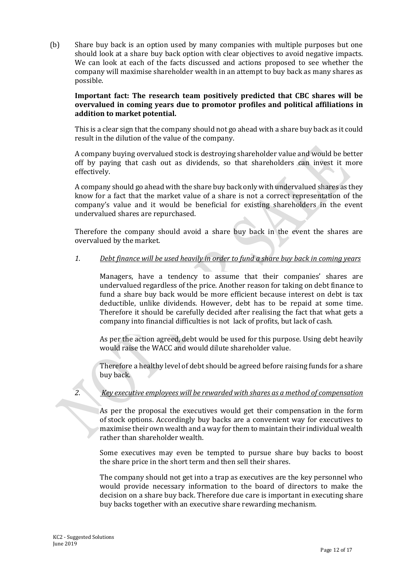(b) Share buy back is an option used by many companies with multiple purposes but one should look at a share buy back option with clear objectives to avoid negative impacts. We can look at each of the facts discussed and actions proposed to see whether the company will maximise shareholder wealth in an attempt to buy back as many shares as possible.

# **Important fact: The research team positively predicted that CBC shares will be overvalued in coming years due to promotor profiles and political affiliations in addition to market potential.**

This is a clear sign that the company should not go ahead with a share buy back as it could result in the dilution of the value of the company.

A company buying [overvalued](https://www.investopedia.com/terms/o/overvalued.asp) stock is destroying shareholder value and would be better off by paying that cash out as [dividends](https://www.investopedia.com/terms/d/dividend.asp), so that shareholders can invest it more effectively.

A company should go ahead with the share buy back only with undervalued shares as they know for a fact that the market value of a share is not a correct representation of the company's value and it would be beneficial for existing shareholders in the event undervalued shares are repurchased.

Therefore the company should avoid a share buy back in the event the shares are overvalued by the market.

# *1. Debt finance will be used heavily in order to fund a share buy back in coming years*

Managers, have a tendency to assume that their companies' shares are undervalued regardless of the price. Another reason for taking on debt finance to fund a share buy back would be more efficient because interest on debt is tax deductible, unlike dividends. However, debt has to be repaid at some time. Therefore it should be carefully decided after realising the fact that what gets a company into financial difficulties is not lack of profits, but lack of cash.

As per the action agreed, debt would be used for this purpose. Using debt heavily would raise the WACC and would dilute shareholder value.

Therefore a healthy level of debt should be agreed before raising funds for a share buy back.

# *2. Key executive employees will be rewarded with shares as a method of compensation*

As per the proposal the executives would get their compensation in the form of [stock options.](https://www.investopedia.com/terms/s/stockoption.asp) Accordingly buy backs are a convenient way for executives to maximise their own wealth and a way for them to maintain their individual wealth rather than shareholder wealth.

Some executives may even be tempted to pursue share buy backs to boost the [share price](https://www.investopedia.com/ask/answers/061615/how-companys-share-price-determined.asp) in the [short term](https://www.investopedia.com/terms/s/shortterm.asp) and then sell their shares.

The company should not get into a trap as executives are the key personnel who would provide necessary information to the board of directors to make the decision on a share buy back. Therefore due care is important in executing share buy backs together with an executive share rewarding mechanism.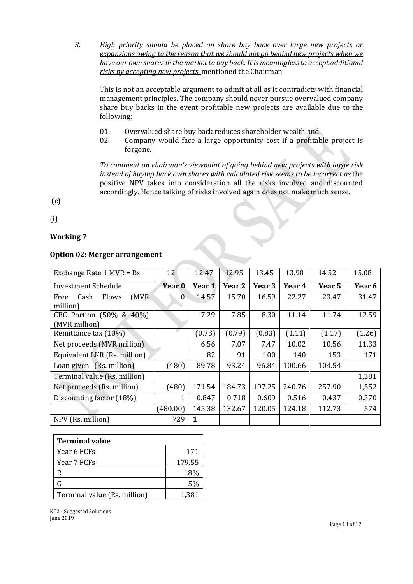*3. High priority should be placed on share buy back over large new projects or expansions owing to the reason that we should not go behind new projects when we have our own shares in the market to buy back. It is meaningless to accept additional risks by accepting new projects,* mentioned the Chairman.

This is not an acceptable argument to admit at all as it contradicts with financial management principles. The company should never pursue overvalued company share buy backs in the event profitable new projects are available due to the following:

- 01. Overvalued share buy back reduces shareholder wealth and
- 02. Company would face a large opportunity cost if a profitable project is forgone.

*To comment on chairman's viewpoint of going behind new projects with large risk instead of buying back own shares with calculated risk seems to be incorrect as* the positive NPV takes into consideration all the risks involved and discounted accordingly. Hence talking of risks involved again does not make much sense.

(c)

(i)

# **Working 7**

# **Option 02: Merger arrangement**

| Exchange Rate 1 MVR = Rs.                  | 12       | 12.47  | 12.95             | 13.45  | 13.98  | 14.52  | 15.08  |
|--------------------------------------------|----------|--------|-------------------|--------|--------|--------|--------|
| <b>Investment Schedule</b>                 | Year 0   | Year 1 | Year <sub>2</sub> | Year 3 | Year 4 | Year 5 | Year 6 |
| Flows<br>(MVR)<br>Cash<br>Free<br>million) | $\theta$ | 14.57  | 15.70             | 16.59  | 22.27  | 23.47  | 31.47  |
| CBC Portion (50% & 40%)<br>(MVR million)   |          | 7.29   | 7.85              | 8.30   | 11.14  | 11.74  | 12.59  |
| Remittance tax (10%)                       |          | (0.73) | (0.79)            | (0.83) | (1.11) | (1.17) | (1.26) |
| Net proceeds (MVR million)                 |          | 6.56   | 7.07              | 7.47   | 10.02  | 10.56  | 11.33  |
| Equivalent LKR (Rs. million)               |          | 82     | 91                | 100    | 140    | 153    | 171    |
| Loan given (Rs. million)                   | (480)    | 89.78  | 93.24             | 96.84  | 100.66 | 104.54 |        |
| Terminal value (Rs. million)               |          |        |                   |        |        |        | 1,381  |
| Net proceeds (Rs. million)                 | (480)    | 171.54 | 184.73            | 197.25 | 240.76 | 257.90 | 1,552  |
| Discounting factor (18%)                   | 1        | 0.847  | 0.718             | 0.609  | 0.516  | 0.437  | 0.370  |
|                                            | (480.00) | 145.38 | 132.67            | 120.05 | 124.18 | 112.73 | 574    |
| NPV (Rs. million)                          | 729      | 1      |                   |        |        |        |        |

| <b>Terminal value</b>        |        |
|------------------------------|--------|
| Year 6 FCFs                  | 171    |
| Year 7 FCFs                  | 179.55 |
| R                            | 18%    |
| G                            | 5%     |
| Terminal value (Rs. million) | 1,381  |

KC2 - Suggested Solutions June 2019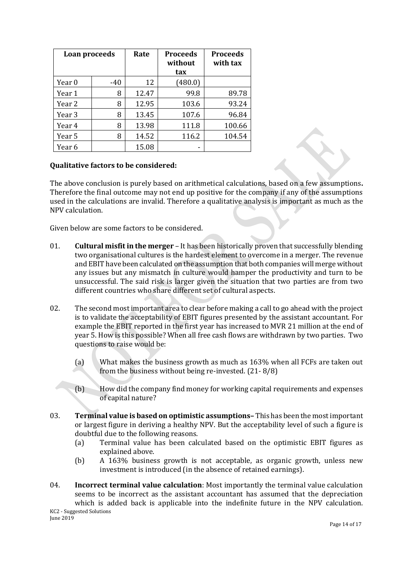| Loan proceeds |     | Rate  | <b>Proceeds</b><br>without<br>tax | <b>Proceeds</b><br>with tax |
|---------------|-----|-------|-----------------------------------|-----------------------------|
| Year 0        | -40 | 12    | (480.0)                           |                             |
| Year 1        | 8   | 12.47 | 99.8                              | 89.78                       |
| Year 2        | 8   | 12.95 | 103.6                             | 93.24                       |
| Year 3        | 8   | 13.45 | 107.6                             | 96.84                       |
| Year 4        | 8   | 13.98 | 111.8                             | 100.66                      |
| Year 5        | 8   | 14.52 | 116.2                             | 104.54                      |
| Year 6        |     | 15.08 |                                   |                             |

# **Qualitative factors to be considered:**

The above conclusion is purely based on arithmetical calculations, based on a few assumptions**.** Therefore the final outcome may not end up positive for the company if any of the assumptions used in the calculations are invalid. Therefore a qualitative analysis is important as much as the NPV calculation.

Given below are some factors to be considered.

- 01. **Cultural misfit in the merger** It has been historically proven that successfully blending two organisational cultures is the hardest element to overcome in a merger. The revenue and EBIT have been calculated on the assumption that both companies will merge without any issues but any mismatch in culture would hamper the productivity and turn to be unsuccessful. The said risk is larger given the situation that two parties are from two different countries who share different set of cultural aspects.
- 02. The second most important area to clear before making a call to go ahead with the project is to validate the acceptability of EBIT figures presented by the assistant accountant. For example the EBIT reported in the first year has increased to MVR 21 million at the end of year 5. How is this possible? When all free cash flows are withdrawn by two parties. Two questions to raise would be:
	- (a) What makes the business growth as much as 163% when all FCFs are taken out from the business without being re-invested. (21- 8/8)
	- (b) How did the company find money for working capital requirements and expenses of capital nature?
- 03. **Terminal value is based on optimistic assumptions–** This has been the most important or largest figure in deriving a healthy NPV. But the acceptability level of such a figure is doubtful due to the following reasons.
	- (a) Terminal value has been calculated based on the optimistic EBIT figures as explained above.
	- (b) A 163% business growth is not acceptable, as organic growth, unless new investment is introduced (in the absence of retained earnings).
- KC2 Suggested Solutions June 2019 04. **Incorrect terminal value calculation**: Most importantly the terminal value calculation seems to be incorrect as the assistant accountant has assumed that the depreciation which is added back is applicable into the indefinite future in the NPV calculation.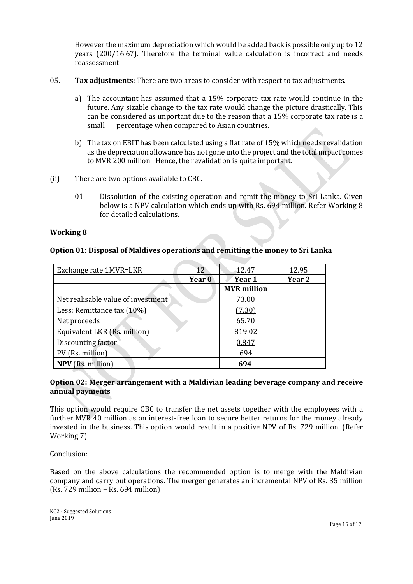However the maximum depreciation which would be added back is possible only up to 12 years (200/16.67). Therefore the terminal value calculation is incorrect and needs reassessment.

- 05. **Tax adjustments**: There are two areas to consider with respect to tax adjustments.
	- a) The accountant has assumed that a 15% corporate tax rate would continue in the future. Any sizable change to the tax rate would change the picture drastically. This can be considered as important due to the reason that a 15% corporate tax rate is a small percentage when compared to Asian countries.
	- b) The tax on EBIT has been calculated using a flat rate of 15% which needs revalidation as the depreciation allowance has not gone into the project and the total impact comes to MVR 200 million. Hence, the revalidation is quite important.
- (ii) There are two options available to CBC.
	- 01. Dissolution of the existing operation and remit the money to Sri Lanka. Given below is a NPV calculation which ends up with Rs. 694 million. Refer Working 8 for detailed calculations.

## **Working 8**

# **Option 01: Disposal of Maldives operations and remitting the money to Sri Lanka**

| Exchange rate 1MVR=LKR             | 12.    | 12.47              | 12.95  |
|------------------------------------|--------|--------------------|--------|
|                                    | Year 0 | Year 1             | Year 2 |
|                                    |        | <b>MVR</b> million |        |
| Net realisable value of investment |        | 73.00              |        |
| Less: Remittance tax (10%)         |        | (7.30)             |        |
| Net proceeds                       |        | 65.70              |        |
| Equivalent LKR (Rs. million)       |        | 819.02             |        |
| Discounting factor                 |        | 0.847              |        |
| PV (Rs. million)                   |        | 694                |        |
| <b>NPV</b> (Rs. million)           |        | 694                |        |

# **Option 02: Merger arrangement with a Maldivian leading beverage company and receive annual payments**

This option would require CBC to transfer the net assets together with the employees with a further MVR 40 million as an interest-free loan to secure better returns for the money already invested in the business. This option would result in a positive NPV of Rs. 729 million. (Refer Working 7)

#### Conclusion:

Based on the above calculations the recommended option is to merge with the Maldivian company and carry out operations. The merger generates an incremental NPV of Rs. 35 million (Rs. 729 million – Rs. 694 million)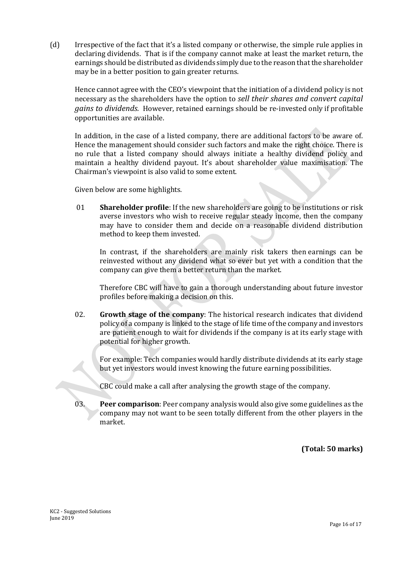(d) Irrespective of the fact that it's a listed company or otherwise, the simple rule applies in declaring dividends. That is if the company cannot make at least the market return, the earnings should be distributed as dividends simply due to the reason that the shareholder may be in a better position to gain greater returns.

Hence cannot agree with the CEO's viewpoint that the initiation of a dividend policy is not necessary as the shareholders have the option to *sell their shares and convert capital gains to dividends.* However, retained earnings should be re-invested only if profitable opportunities are available.

In addition, in the case of a listed company, there are additional factors to be aware of. Hence the management should consider such factors and make the right choice. There is no rule that a listed company should always initiate a healthy dividend policy and maintain a healthy dividend payout. It's about shareholder value maximisation. The Chairman's viewpoint is also valid to some extent.

Given below are some highlights.

01 **Shareholder profile**: If the new shareholders are going to be institutions or risk averse investors who wish to receive regular steady income, then the company may have to consider them and decide on a reasonable dividend distribution method to keep them invested.

In contrast, if the shareholders are mainly risk takers then earnings can be reinvested without any dividend what so ever but yet with a condition that the company can give them a better return than the market.

Therefore CBC will have to gain a thorough understanding about future investor profiles before making a decision on this.

02. **Growth stage of the company**: The historical research indicates that dividend policy of a company is linked to the stage of life time of the company and investors are patient enough to wait for dividends if the company is at its early stage with potential for higher growth.

For example: Tech companies would hardly distribute dividends at its early stage but yet investors would invest knowing the future earning possibilities.

CBC could make a call after analysing the growth stage of the company.

03. **Peer comparison**: Peer company analysis would also give some guidelines as the company may not want to be seen totally different from the other players in the market.

**(Total: 50 marks)**